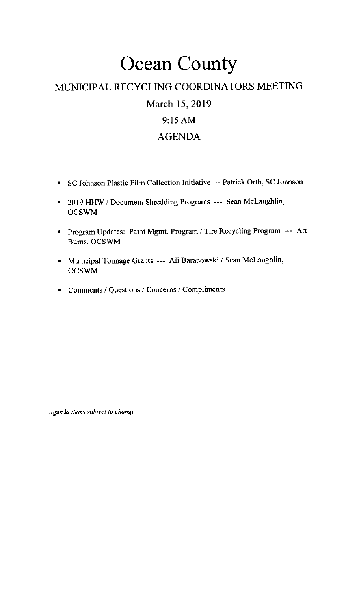## **Ocean County**

### MUNICIPAL RECYCLING COORDINATORS MEETING

March 15, 2019

### 9:15 AM

### AGENDA

- <sup>.</sup> SC Johnson Plastic Film Collection Initiative --- Patrick Orth, SC Johnson
- . 2019 HHW / Document Shredding Programs --- Sean Mclaughlin, OCSWM
- **Program Updates: Paint Mgmt. Program / Tire Recycling Program --- Art** Bums, OCSWM
- . Municipal 'fonnage Grants --- Ali Baranowski / Sean Mclaughlin, OCSWM
- . Comments / Questions / Concerns / Compliments

Agenda items subject to change.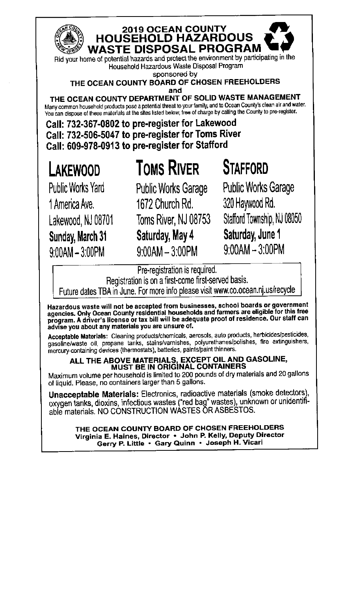

#### 2019 OCEAN COUNTY **HOUSEHOLD HAZARDOUS WASTE DISPOSAL PROGRAM**

Rid your home of potential hazards and protect the environment by participating in the Household Hazardous Waste Disposal Program

sponsored by

THE OCEAN COUNTY BOARD OF CHOSEN FREEHOLDERS and

THE OCEAN COUNTY DEPARTMENT OF SOLID WASTE MANAGEMENT Many common household products pose a potential threat to your family, and to Ocean County's clean air and water. You can dispose of these materials at the sites listed below, free of charge by calling the County to pre-register.

Call: 732-367-0802 to pre-register for Lakewood Call: 732-506-5047 to pre-register for Toms River Call: 609-978-0913 to pre-register for Stafford

# LAKEWOOD

# **TOMS RIVER**

**Public Works Yard** 1 America Ave. Lakewood, NJ 08701 Sunday, March 31  $9:00AM - 3:00PM$ 

**Public Works Garage** 1672 Church Rd. Toms River, NJ 08753 Saturday, May 4  $9:00AM - 3:00PM$ 

### **STAFFORD Public Works Garage**

320 Haywood Rd. Stafford Township, NJ 08050 Saturday, June 1  $9:00AM - 3:00PM$ 

Pre-registration is required.

Registration is on a first-come first-served basis.

Future dates TBA in June. For more info please visit www.co.ocean.nj.us/recycle

Hazardous waste will not be accepted from businesses, school boards or government<br>agencies. Only Ocean County residential households and farmers are eligible for this free<br>program. A driver's license or tax bill will be ad advise you about any materials you are unsure of.

Acceptable Materials: Cleaning products/chemicals, aerosols, auto products, herbicides/pesticides, gasoline/waste oil, propane tanks, stains/varnishes, polyurethanes/polishes, fire extinguishers,<br>mercury-containing devices (thermostats), batteries, paints/paint thinners.

### ALL THE ABOVE MATERIALS, EXCEPT OIL AND GASOLINE,<br>MUST BE IN ORIGINAL CONTAINERS

Maximum volume per household is limited to 200 pounds of dry materials and 20 gallons of liquid. Please, no containers larger than 5 gallons.

Unacceptable Materials: Electronics, radioactive materials (smoke detectors), oxygen tanks, dioxins, infectious wastes ("red bag" wastes), unknown or unidentifiable materials. NO CONSTRUCTION WASTES OR ASBESTOS.

> THE OCEAN COUNTY BOARD OF CHOSEN FREEHOLDERS Virginia E. Haines, Director • John P. Kelly, Deputy Director Gerry P. Little · Gary Quinn · Joseph H. Vicari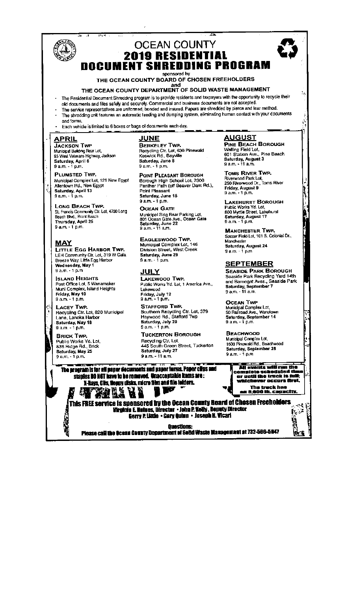